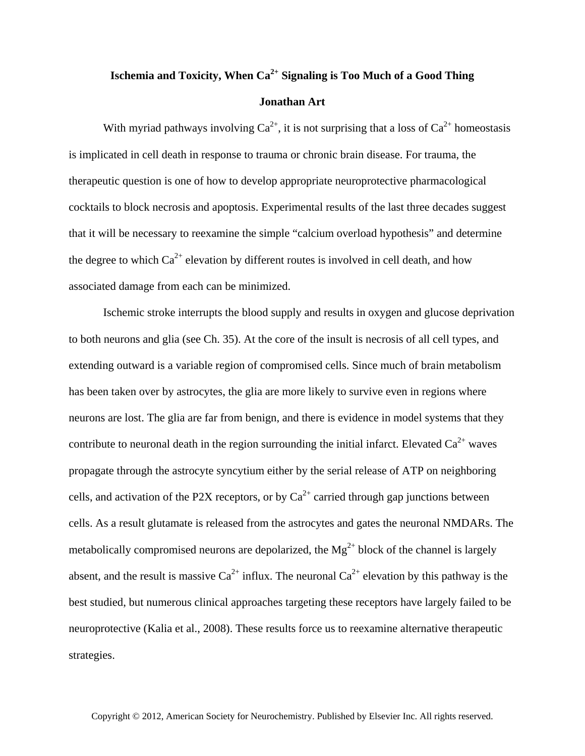## **Ischemia and Toxicity, When Ca2+ Signaling is Too Much of a Good Thing Jonathan Art**

With myriad pathways involving  $Ca^{2+}$ , it is not surprising that a loss of  $Ca^{2+}$  homeostasis is implicated in cell death in response to trauma or chronic brain disease. For trauma, the therapeutic question is one of how to develop appropriate neuroprotective pharmacological cocktails to block necrosis and apoptosis. Experimental results of the last three decades suggest that it will be necessary to reexamine the simple "calcium overload hypothesis" and determine the degree to which  $Ca^{2+}$  elevation by different routes is involved in cell death, and how associated damage from each can be minimized.

Ischemic stroke interrupts the blood supply and results in oxygen and glucose deprivation to both neurons and glia (see Ch. 35). At the core of the insult is necrosis of all cell types, and extending outward is a variable region of compromised cells. Since much of brain metabolism has been taken over by astrocytes, the glia are more likely to survive even in regions where neurons are lost. The glia are far from benign, and there is evidence in model systems that they contribute to neuronal death in the region surrounding the initial infarct. Elevated  $Ca^{2+}$  waves propagate through the astrocyte syncytium either by the serial release of ATP on neighboring cells, and activation of the P2X receptors, or by  $Ca^{2+}$  carried through gap junctions between cells. As a result glutamate is released from the astrocytes and gates the neuronal NMDARs. The metabolically compromised neurons are depolarized, the  $Mg^{2+}$  block of the channel is largely absent, and the result is massive  $Ca^{2+}$  influx. The neuronal  $Ca^{2+}$  elevation by this pathway is the best studied, but numerous clinical approaches targeting these receptors have largely failed to be neuroprotective (Kalia et al., 2008). These results force us to reexamine alternative therapeutic strategies.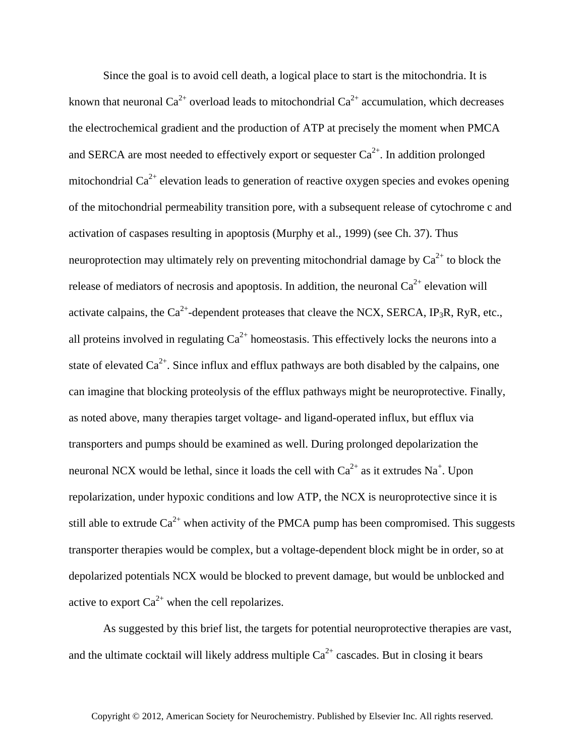Since the goal is to avoid cell death, a logical place to start is the mitochondria. It is known that neuronal  $Ca^{2+}$  overload leads to mitochondrial  $Ca^{2+}$  accumulation, which decreases the electrochemical gradient and the production of ATP at precisely the moment when PMCA and SERCA are most needed to effectively export or sequester  $Ca^{2+}$ . In addition prolonged mitochondrial  $Ca^{2+}$  elevation leads to generation of reactive oxygen species and evokes opening of the mitochondrial permeability transition pore, with a subsequent release of cytochrome c and activation of caspases resulting in apoptosis (Murphy et al., 1999) (see Ch. 37). Thus neuroprotection may ultimately rely on preventing mitochondrial damage by  $Ca^{2+}$  to block the release of mediators of necrosis and apoptosis. In addition, the neuronal  $Ca^{2+}$  elevation will activate calpains, the  $Ca^{2+}$ -dependent proteases that cleave the NCX, SERCA, IP<sub>3</sub>R, RyR, etc., all proteins involved in regulating  $Ca^{2+}$  homeostasis. This effectively locks the neurons into a state of elevated  $Ca^{2+}$ . Since influx and efflux pathways are both disabled by the calpains, one can imagine that blocking proteolysis of the efflux pathways might be neuroprotective. Finally, as noted above, many therapies target voltage- and ligand-operated influx, but efflux via transporters and pumps should be examined as well. During prolonged depolarization the neuronal NCX would be lethal, since it loads the cell with  $Ca^{2+}$  as it extrudes Na<sup>+</sup>. Upon repolarization, under hypoxic conditions and low ATP, the NCX is neuroprotective since it is still able to extrude  $Ca^{2+}$  when activity of the PMCA pump has been compromised. This suggests transporter therapies would be complex, but a voltage-dependent block might be in order, so at depolarized potentials NCX would be blocked to prevent damage, but would be unblocked and active to export  $Ca^{2+}$  when the cell repolarizes.

As suggested by this brief list, the targets for potential neuroprotective therapies are vast, and the ultimate cocktail will likely address multiple  $Ca^{2+}$  cascades. But in closing it bears